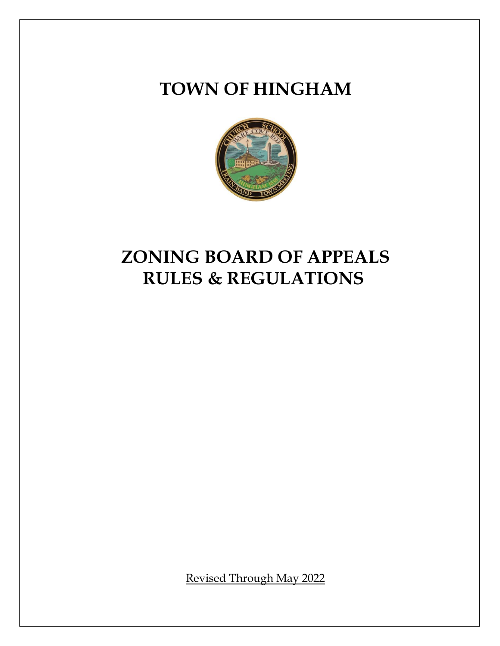# **TOWN OF HINGHAM**



# **ZONING BOARD OF APPEALS RULES & REGULATIONS**

Revised Through May 2022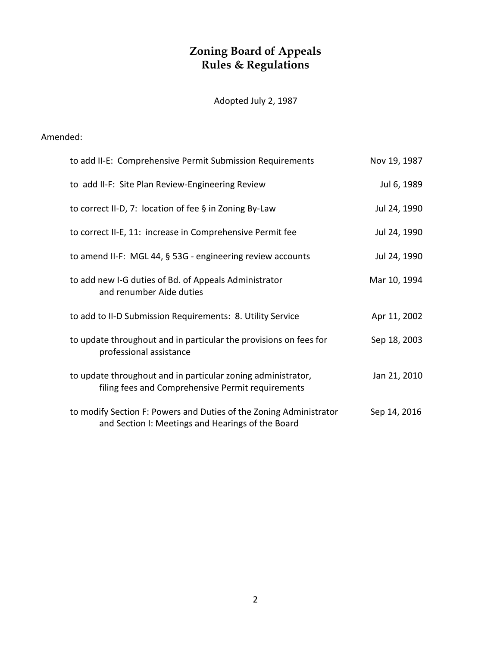# **Zoning Board of Appeals Rules & Regulations**

Adopted July 2, 1987

# Amended:

| to add II-E: Comprehensive Permit Submission Requirements                                                               | Nov 19, 1987 |
|-------------------------------------------------------------------------------------------------------------------------|--------------|
| to add II-F: Site Plan Review-Engineering Review                                                                        | Jul 6, 1989  |
| to correct II-D, 7: location of fee $\S$ in Zoning By-Law                                                               | Jul 24, 1990 |
| to correct II-E, 11: increase in Comprehensive Permit fee                                                               | Jul 24, 1990 |
| to amend II-F: MGL 44, § 53G - engineering review accounts                                                              | Jul 24, 1990 |
| to add new I-G duties of Bd. of Appeals Administrator<br>and renumber Aide duties                                       | Mar 10, 1994 |
| to add to II-D Submission Requirements: 8. Utility Service                                                              | Apr 11, 2002 |
| to update throughout and in particular the provisions on fees for<br>professional assistance                            | Sep 18, 2003 |
| to update throughout and in particular zoning administrator,<br>filing fees and Comprehensive Permit requirements       | Jan 21, 2010 |
| to modify Section F: Powers and Duties of the Zoning Administrator<br>and Section I: Meetings and Hearings of the Board | Sep 14, 2016 |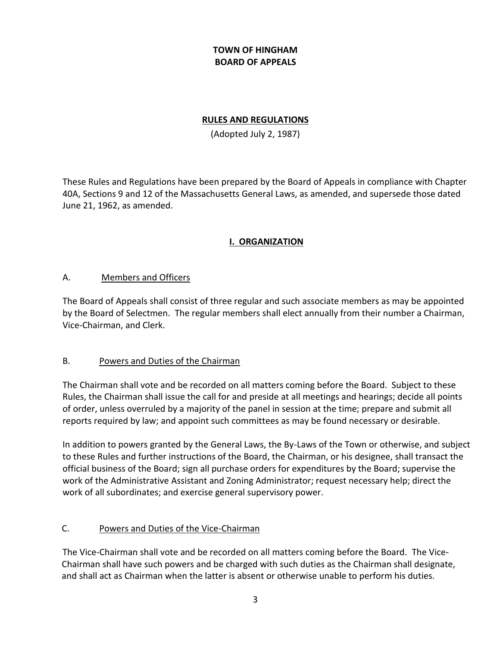# **TOWN OF HINGHAM BOARD OF APPEALS**

#### **RULES AND REGULATIONS**

(Adopted July 2, 1987)

These Rules and Regulations have been prepared by the Board of Appeals in compliance with Chapter 40A, Sections 9 and 12 of the Massachusetts General Laws, as amended, and supersede those dated June 21, 1962, as amended.

# **I. ORGANIZATION**

#### A. Members and Officers

The Board of Appeals shall consist of three regular and such associate members as may be appointed by the Board of Selectmen. The regular members shall elect annually from their number a Chairman, Vice-Chairman, and Clerk.

## B. Powers and Duties of the Chairman

The Chairman shall vote and be recorded on all matters coming before the Board. Subject to these Rules, the Chairman shall issue the call for and preside at all meetings and hearings; decide all points of order, unless overruled by a majority of the panel in session at the time; prepare and submit all reports required by law; and appoint such committees as may be found necessary or desirable.

In addition to powers granted by the General Laws, the By-Laws of the Town or otherwise, and subject to these Rules and further instructions of the Board, the Chairman, or his designee, shall transact the official business of the Board; sign all purchase orders for expenditures by the Board; supervise the work of the Administrative Assistant and Zoning Administrator; request necessary help; direct the work of all subordinates; and exercise general supervisory power.

## C. Powers and Duties of the Vice-Chairman

The Vice-Chairman shall vote and be recorded on all matters coming before the Board. The Vice-Chairman shall have such powers and be charged with such duties as the Chairman shall designate, and shall act as Chairman when the latter is absent or otherwise unable to perform his duties.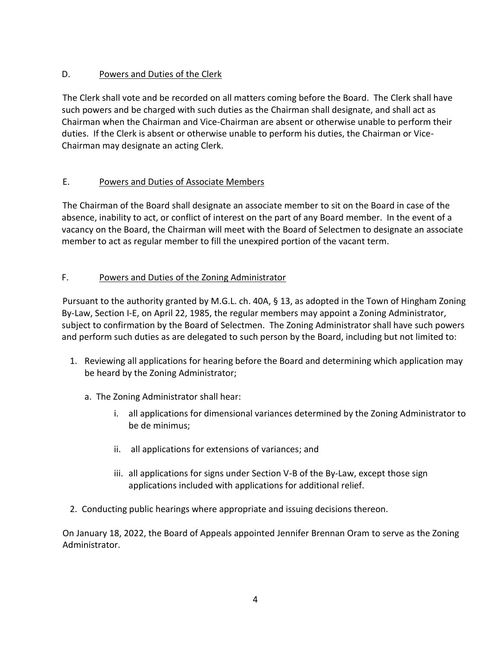# D. Powers and Duties of the Clerk

The Clerk shall vote and be recorded on all matters coming before the Board. The Clerk shall have such powers and be charged with such duties as the Chairman shall designate, and shall act as Chairman when the Chairman and Vice-Chairman are absent or otherwise unable to perform their duties. If the Clerk is absent or otherwise unable to perform his duties, the Chairman or Vice-Chairman may designate an acting Clerk.

# E. Powers and Duties of Associate Members

The Chairman of the Board shall designate an associate member to sit on the Board in case of the absence, inability to act, or conflict of interest on the part of any Board member. In the event of a vacancy on the Board, the Chairman will meet with the Board of Selectmen to designate an associate member to act as regular member to fill the unexpired portion of the vacant term.

# F. Powers and Duties of the Zoning Administrator

Pursuant to the authority granted by M.G.L. ch. 40A, § 13, as adopted in the Town of Hingham Zoning By-Law, Section I-E, on April 22, 1985, the regular members may appoint a Zoning Administrator, subject to confirmation by the Board of Selectmen. The Zoning Administrator shall have such powers and perform such duties as are delegated to such person by the Board, including but not limited to:

- 1. Reviewing all applications for hearing before the Board and determining which application may be heard by the Zoning Administrator;
	- a. The Zoning Administrator shall hear:
		- i. all applications for dimensional variances determined by the Zoning Administrator to be de minimus;
		- ii. all applications for extensions of variances; and
		- iii. all applications for signs under Section V-B of the By-Law, except those sign applications included with applications for additional relief.
- 2. Conducting public hearings where appropriate and issuing decisions thereon.

On January 18, 2022, the Board of Appeals appointed Jennifer Brennan Oram to serve as the Zoning Administrator.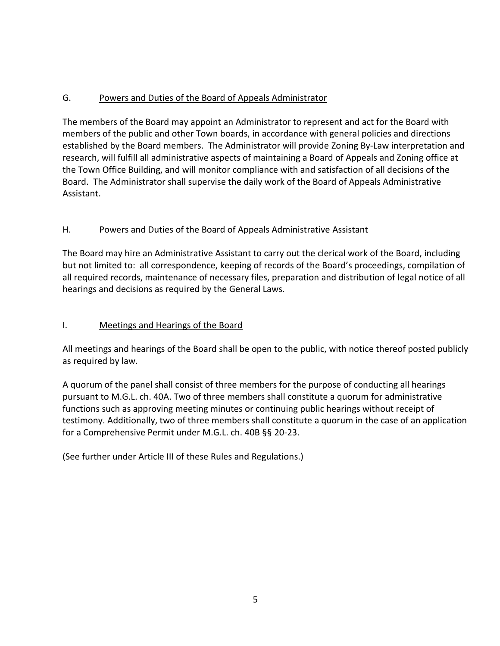# G. Powers and Duties of the Board of Appeals Administrator

The members of the Board may appoint an Administrator to represent and act for the Board with members of the public and other Town boards, in accordance with general policies and directions established by the Board members. The Administrator will provide Zoning By-Law interpretation and research, will fulfill all administrative aspects of maintaining a Board of Appeals and Zoning office at the Town Office Building, and will monitor compliance with and satisfaction of all decisions of the Board. The Administrator shall supervise the daily work of the Board of Appeals Administrative Assistant.

# H. Powers and Duties of the Board of Appeals Administrative Assistant

The Board may hire an Administrative Assistant to carry out the clerical work of the Board, including but not limited to: all correspondence, keeping of records of the Board's proceedings, compilation of all required records, maintenance of necessary files, preparation and distribution of legal notice of all hearings and decisions as required by the General Laws.

## I. Meetings and Hearings of the Board

All meetings and hearings of the Board shall be open to the public, with notice thereof posted publicly as required by law.

A quorum of the panel shall consist of three members for the purpose of conducting all hearings pursuant to M.G.L. ch. 40A. Two of three members shall constitute a quorum for administrative functions such as approving meeting minutes or continuing public hearings without receipt of testimony. Additionally, two of three members shall constitute a quorum in the case of an application for a Comprehensive Permit under M.G.L. ch. 40B §§ 20-23.

(See further under Article III of these Rules and Regulations.)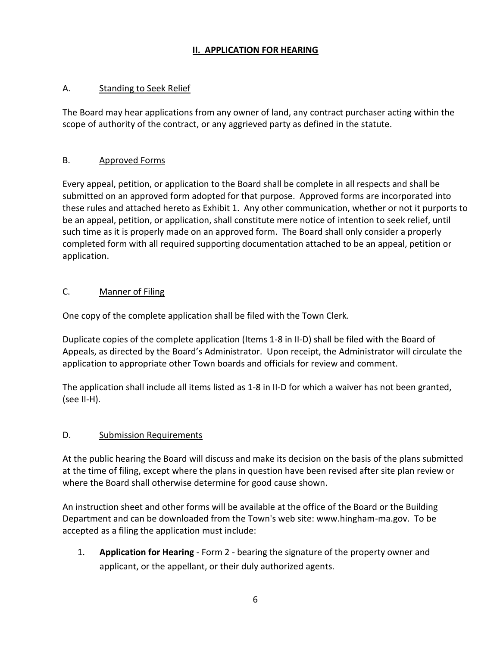# **II. APPLICATION FOR HEARING**

#### A. Standing to Seek Relief

The Board may hear applications from any owner of land, any contract purchaser acting within the scope of authority of the contract, or any aggrieved party as defined in the statute.

#### B. Approved Forms

Every appeal, petition, or application to the Board shall be complete in all respects and shall be submitted on an approved form adopted for that purpose. Approved forms are incorporated into these rules and attached hereto as Exhibit 1. Any other communication, whether or not it purports to be an appeal, petition, or application, shall constitute mere notice of intention to seek relief, until such time as it is properly made on an approved form. The Board shall only consider a properly completed form with all required supporting documentation attached to be an appeal, petition or application.

#### C. Manner of Filing

One copy of the complete application shall be filed with the Town Clerk.

Duplicate copies of the complete application (Items 1-8 in II-D) shall be filed with the Board of Appeals, as directed by the Board's Administrator. Upon receipt, the Administrator will circulate the application to appropriate other Town boards and officials for review and comment.

The application shall include all items listed as 1-8 in II-D for which a waiver has not been granted, (see II-H).

## D. Submission Requirements

At the public hearing the Board will discuss and make its decision on the basis of the plans submitted at the time of filing, except where the plans in question have been revised after site plan review or where the Board shall otherwise determine for good cause shown.

An instruction sheet and other forms will be available at the office of the Board or the Building Department and can be downloaded from the Town's web site: www.hingham-ma.gov. To be accepted as a filing the application must include:

1. **Application for Hearing** - Form 2 - bearing the signature of the property owner and applicant, or the appellant, or their duly authorized agents.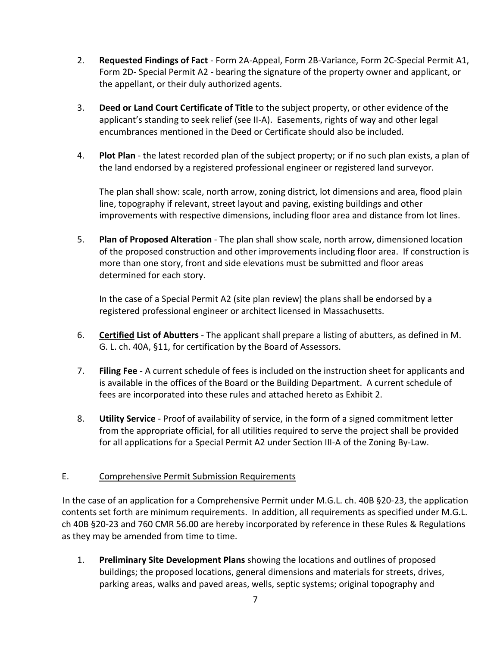- 2. **Requested Findings of Fact** Form 2A-Appeal, Form 2B-Variance, Form 2C-Special Permit A1, Form 2D- Special Permit A2 - bearing the signature of the property owner and applicant, or the appellant, or their duly authorized agents.
- 3. **Deed or Land Court Certificate of Title** to the subject property, or other evidence of the applicant's standing to seek relief (see II-A). Easements, rights of way and other legal encumbrances mentioned in the Deed or Certificate should also be included.
- 4. **Plot Plan** the latest recorded plan of the subject property; or if no such plan exists, a plan of the land endorsed by a registered professional engineer or registered land surveyor.

The plan shall show: scale, north arrow, zoning district, lot dimensions and area, flood plain line, topography if relevant, street layout and paving, existing buildings and other improvements with respective dimensions, including floor area and distance from lot lines.

5. **Plan of Proposed Alteration** - The plan shall show scale, north arrow, dimensioned location of the proposed construction and other improvements including floor area. If construction is more than one story, front and side elevations must be submitted and floor areas determined for each story.

In the case of a Special Permit A2 (site plan review) the plans shall be endorsed by a registered professional engineer or architect licensed in Massachusetts.

- 6. **Certified List of Abutters** The applicant shall prepare a listing of abutters, as defined in M. G. L. ch. 40A, §11, for certification by the Board of Assessors.
- 7. **Filing Fee** A current schedule of fees is included on the instruction sheet for applicants and is available in the offices of the Board or the Building Department. A current schedule of fees are incorporated into these rules and attached hereto as Exhibit 2.
- 8. **Utility Service** Proof of availability of service, in the form of a signed commitment letter from the appropriate official, for all utilities required to serve the project shall be provided for all applications for a Special Permit A2 under Section III-A of the Zoning By-Law.

# E. Comprehensive Permit Submission Requirements

In the case of an application for a Comprehensive Permit under M.G.L. ch. 40B §20-23, the application contents set forth are minimum requirements. In addition, all requirements as specified under M.G.L. ch 40B §20-23 and 760 CMR 56.00 are hereby incorporated by reference in these Rules & Regulations as they may be amended from time to time.

1. **Preliminary Site Development Plans** showing the locations and outlines of proposed buildings; the proposed locations, general dimensions and materials for streets, drives, parking areas, walks and paved areas, wells, septic systems; original topography and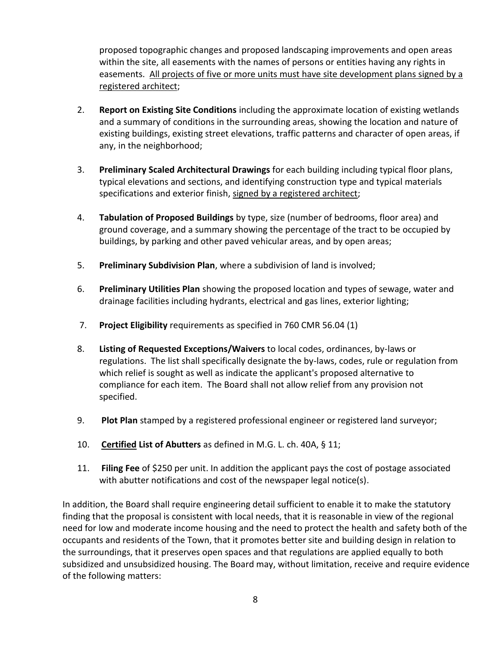proposed topographic changes and proposed landscaping improvements and open areas within the site, all easements with the names of persons or entities having any rights in easements. All projects of five or more units must have site development plans signed by a registered architect;

- 2. **Report on Existing Site Conditions** including the approximate location of existing wetlands and a summary of conditions in the surrounding areas, showing the location and nature of existing buildings, existing street elevations, traffic patterns and character of open areas, if any, in the neighborhood;
- 3. **Preliminary Scaled Architectural Drawings** for each building including typical floor plans, typical elevations and sections, and identifying construction type and typical materials specifications and exterior finish, signed by a registered architect;
- 4. **Tabulation of Proposed Buildings** by type, size (number of bedrooms, floor area) and ground coverage, and a summary showing the percentage of the tract to be occupied by buildings, by parking and other paved vehicular areas, and by open areas;
- 5. **Preliminary Subdivision Plan**, where a subdivision of land is involved;
- 6. **Preliminary Utilities Plan** showing the proposed location and types of sewage, water and drainage facilities including hydrants, electrical and gas lines, exterior lighting;
- 7. **Project Eligibility** requirements as specified in 760 CMR 56.04 (1)
- 8. **Listing of Requested Exceptions/Waivers** to local codes, ordinances, by-laws or regulations. The list shall specifically designate the by-laws, codes, rule or regulation from which relief is sought as well as indicate the applicant's proposed alternative to compliance for each item. The Board shall not allow relief from any provision not specified.
- 9. **Plot Plan** stamped by a registered professional engineer or registered land surveyor;
- 10. **Certified List of Abutters** as defined in M.G. L. ch. 40A, § 11;
- 11. **Filing Fee** of \$250 per unit. In addition the applicant pays the cost of postage associated with abutter notifications and cost of the newspaper legal notice(s).

In addition, the Board shall require engineering detail sufficient to enable it to make the statutory finding that the proposal is consistent with local needs, that it is reasonable in view of the regional need for low and moderate income housing and the need to protect the health and safety both of the occupants and residents of the Town, that it promotes better site and building design in relation to the surroundings, that it preserves open spaces and that regulations are applied equally to both subsidized and unsubsidized housing. The Board may, without limitation, receive and require evidence of the following matters: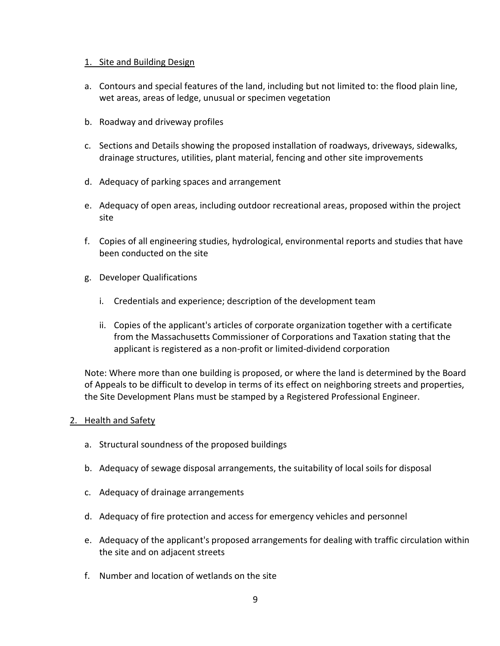#### 1. Site and Building Design

- a. Contours and special features of the land, including but not limited to: the flood plain line, wet areas, areas of ledge, unusual or specimen vegetation
- b. Roadway and driveway profiles
- c. Sections and Details showing the proposed installation of roadways, driveways, sidewalks, drainage structures, utilities, plant material, fencing and other site improvements
- d. Adequacy of parking spaces and arrangement
- e. Adequacy of open areas, including outdoor recreational areas, proposed within the project site
- f. Copies of all engineering studies, hydrological, environmental reports and studies that have been conducted on the site
- g. Developer Qualifications
	- i. Credentials and experience; description of the development team
	- ii. Copies of the applicant's articles of corporate organization together with a certificate from the Massachusetts Commissioner of Corporations and Taxation stating that the applicant is registered as a non-profit or limited-dividend corporation

Note: Where more than one building is proposed, or where the land is determined by the Board of Appeals to be difficult to develop in terms of its effect on neighboring streets and properties, the Site Development Plans must be stamped by a Registered Professional Engineer.

#### 2. Health and Safety

- a. Structural soundness of the proposed buildings
- b. Adequacy of sewage disposal arrangements, the suitability of local soils for disposal
- c. Adequacy of drainage arrangements
- d. Adequacy of fire protection and access for emergency vehicles and personnel
- e. Adequacy of the applicant's proposed arrangements for dealing with traffic circulation within the site and on adjacent streets
- f. Number and location of wetlands on the site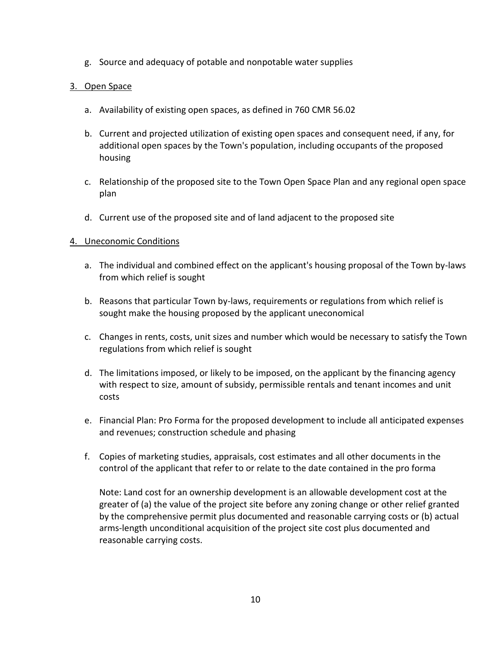g. Source and adequacy of potable and nonpotable water supplies

#### 3. Open Space

- a. Availability of existing open spaces, as defined in 760 CMR 56.02
- b. Current and projected utilization of existing open spaces and consequent need, if any, for additional open spaces by the Town's population, including occupants of the proposed housing
- c. Relationship of the proposed site to the Town Open Space Plan and any regional open space plan
- d. Current use of the proposed site and of land adjacent to the proposed site

#### 4. Uneconomic Conditions

- a. The individual and combined effect on the applicant's housing proposal of the Town by-laws from which relief is sought
- b. Reasons that particular Town by-laws, requirements or regulations from which relief is sought make the housing proposed by the applicant uneconomical
- c. Changes in rents, costs, unit sizes and number which would be necessary to satisfy the Town regulations from which relief is sought
- d. The limitations imposed, or likely to be imposed, on the applicant by the financing agency with respect to size, amount of subsidy, permissible rentals and tenant incomes and unit costs
- e. Financial Plan: Pro Forma for the proposed development to include all anticipated expenses and revenues; construction schedule and phasing
- f. Copies of marketing studies, appraisals, cost estimates and all other documents in the control of the applicant that refer to or relate to the date contained in the pro forma

Note: Land cost for an ownership development is an allowable development cost at the greater of (a) the value of the project site before any zoning change or other relief granted by the comprehensive permit plus documented and reasonable carrying costs or (b) actual arms-length unconditional acquisition of the project site cost plus documented and reasonable carrying costs.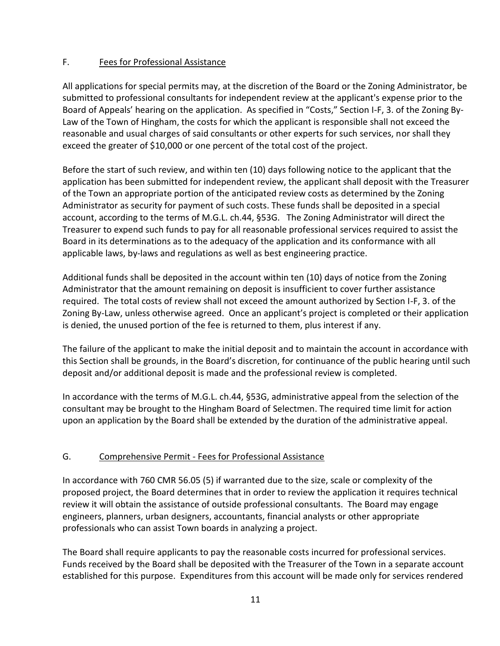#### F. Fees for Professional Assistance

All applications for special permits may, at the discretion of the Board or the Zoning Administrator, be submitted to professional consultants for independent review at the applicant's expense prior to the Board of Appeals' hearing on the application. As specified in "Costs," Section I-F, 3. of the Zoning By-Law of the Town of Hingham, the costs for which the applicant is responsible shall not exceed the reasonable and usual charges of said consultants or other experts for such services, nor shall they exceed the greater of \$10,000 or one percent of the total cost of the project.

Before the start of such review, and within ten (10) days following notice to the applicant that the application has been submitted for independent review, the applicant shall deposit with the Treasurer of the Town an appropriate portion of the anticipated review costs as determined by the Zoning Administrator as security for payment of such costs. These funds shall be deposited in a special account, according to the terms of M.G.L. ch.44, §53G. The Zoning Administrator will direct the Treasurer to expend such funds to pay for all reasonable professional services required to assist the Board in its determinations as to the adequacy of the application and its conformance with all applicable laws, by-laws and regulations as well as best engineering practice.

Additional funds shall be deposited in the account within ten (10) days of notice from the Zoning Administrator that the amount remaining on deposit is insufficient to cover further assistance required. The total costs of review shall not exceed the amount authorized by Section I-F, 3. of the Zoning By-Law, unless otherwise agreed. Once an applicant's project is completed or their application is denied, the unused portion of the fee is returned to them, plus interest if any.

The failure of the applicant to make the initial deposit and to maintain the account in accordance with this Section shall be grounds, in the Board's discretion, for continuance of the public hearing until such deposit and/or additional deposit is made and the professional review is completed.

In accordance with the terms of M.G.L. ch.44, §53G, administrative appeal from the selection of the consultant may be brought to the Hingham Board of Selectmen. The required time limit for action upon an application by the Board shall be extended by the duration of the administrative appeal.

## G. Comprehensive Permit - Fees for Professional Assistance

In accordance with 760 CMR 56.05 (5) if warranted due to the size, scale or complexity of the proposed project, the Board determines that in order to review the application it requires technical review it will obtain the assistance of outside professional consultants. The Board may engage engineers, planners, urban designers, accountants, financial analysts or other appropriate professionals who can assist Town boards in analyzing a project.

The Board shall require applicants to pay the reasonable costs incurred for professional services. Funds received by the Board shall be deposited with the Treasurer of the Town in a separate account established for this purpose. Expenditures from this account will be made only for services rendered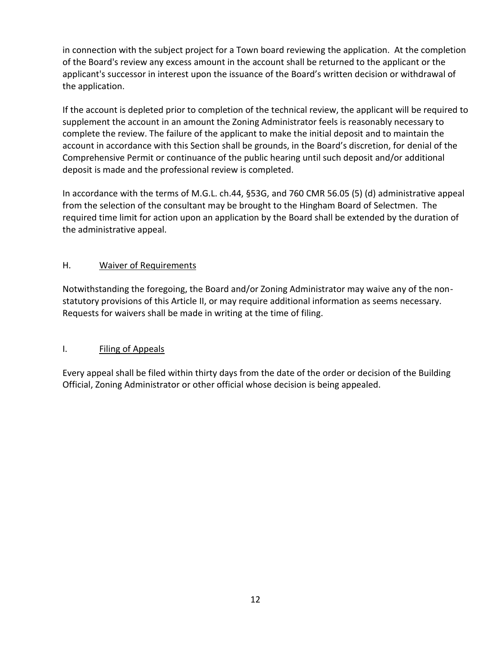in connection with the subject project for a Town board reviewing the application. At the completion of the Board's review any excess amount in the account shall be returned to the applicant or the applicant's successor in interest upon the issuance of the Board's written decision or withdrawal of the application.

If the account is depleted prior to completion of the technical review, the applicant will be required to supplement the account in an amount the Zoning Administrator feels is reasonably necessary to complete the review. The failure of the applicant to make the initial deposit and to maintain the account in accordance with this Section shall be grounds, in the Board's discretion, for denial of the Comprehensive Permit or continuance of the public hearing until such deposit and/or additional deposit is made and the professional review is completed.

In accordance with the terms of M.G.L. ch.44, §53G, and 760 CMR 56.05 (5) (d) administrative appeal from the selection of the consultant may be brought to the Hingham Board of Selectmen. The required time limit for action upon an application by the Board shall be extended by the duration of the administrative appeal.

## H. Waiver of Requirements

Notwithstanding the foregoing, the Board and/or Zoning Administrator may waive any of the nonstatutory provisions of this Article II, or may require additional information as seems necessary. Requests for waivers shall be made in writing at the time of filing.

## I. Filing of Appeals

Every appeal shall be filed within thirty days from the date of the order or decision of the Building Official, Zoning Administrator or other official whose decision is being appealed.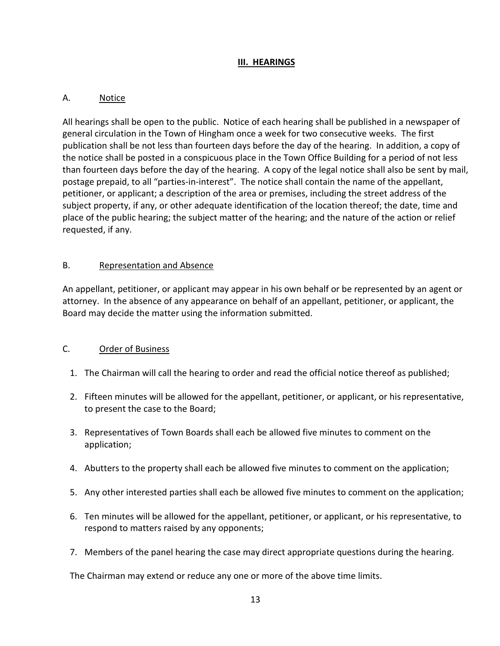## **III. HEARINGS**

## A. Notice

All hearings shall be open to the public. Notice of each hearing shall be published in a newspaper of general circulation in the Town of Hingham once a week for two consecutive weeks. The first publication shall be not less than fourteen days before the day of the hearing. In addition, a copy of the notice shall be posted in a conspicuous place in the Town Office Building for a period of not less than fourteen days before the day of the hearing. A copy of the legal notice shall also be sent by mail, postage prepaid, to all "parties-in-interest". The notice shall contain the name of the appellant, petitioner, or applicant; a description of the area or premises, including the street address of the subject property, if any, or other adequate identification of the location thereof; the date, time and place of the public hearing; the subject matter of the hearing; and the nature of the action or relief requested, if any.

## B. Representation and Absence

An appellant, petitioner, or applicant may appear in his own behalf or be represented by an agent or attorney. In the absence of any appearance on behalf of an appellant, petitioner, or applicant, the Board may decide the matter using the information submitted.

## C. Order of Business

- 1. The Chairman will call the hearing to order and read the official notice thereof as published;
- 2. Fifteen minutes will be allowed for the appellant, petitioner, or applicant, or his representative, to present the case to the Board;
- 3. Representatives of Town Boards shall each be allowed five minutes to comment on the application;
- 4. Abutters to the property shall each be allowed five minutes to comment on the application;
- 5. Any other interested parties shall each be allowed five minutes to comment on the application;
- 6. Ten minutes will be allowed for the appellant, petitioner, or applicant, or his representative, to respond to matters raised by any opponents;
- 7. Members of the panel hearing the case may direct appropriate questions during the hearing.

The Chairman may extend or reduce any one or more of the above time limits.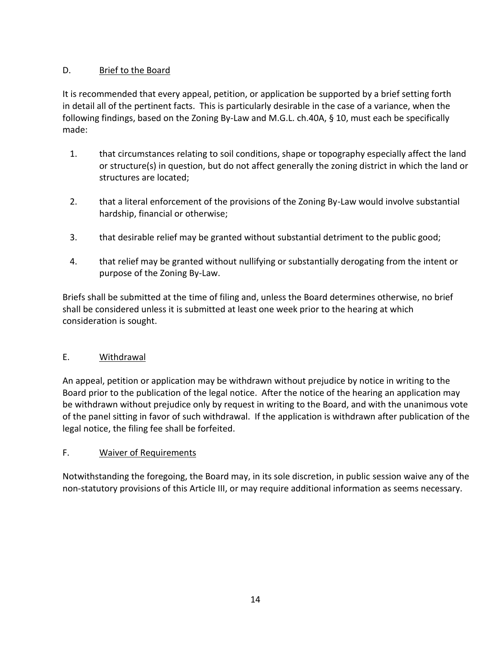# D. Brief to the Board

It is recommended that every appeal, petition, or application be supported by a brief setting forth in detail all of the pertinent facts. This is particularly desirable in the case of a variance, when the following findings, based on the Zoning By-Law and M.G.L. ch.40A, § 10, must each be specifically made:

- 1. that circumstances relating to soil conditions, shape or topography especially affect the land or structure(s) in question, but do not affect generally the zoning district in which the land or structures are located;
- 2. that a literal enforcement of the provisions of the Zoning By-Law would involve substantial hardship, financial or otherwise;
- 3. that desirable relief may be granted without substantial detriment to the public good;
- 4. that relief may be granted without nullifying or substantially derogating from the intent or purpose of the Zoning By-Law.

Briefs shall be submitted at the time of filing and, unless the Board determines otherwise, no brief shall be considered unless it is submitted at least one week prior to the hearing at which consideration is sought.

## E. Withdrawal

An appeal, petition or application may be withdrawn without prejudice by notice in writing to the Board prior to the publication of the legal notice. After the notice of the hearing an application may be withdrawn without prejudice only by request in writing to the Board, and with the unanimous vote of the panel sitting in favor of such withdrawal. If the application is withdrawn after publication of the legal notice, the filing fee shall be forfeited.

#### F. Waiver of Requirements

Notwithstanding the foregoing, the Board may, in its sole discretion, in public session waive any of the non-statutory provisions of this Article III, or may require additional information as seems necessary.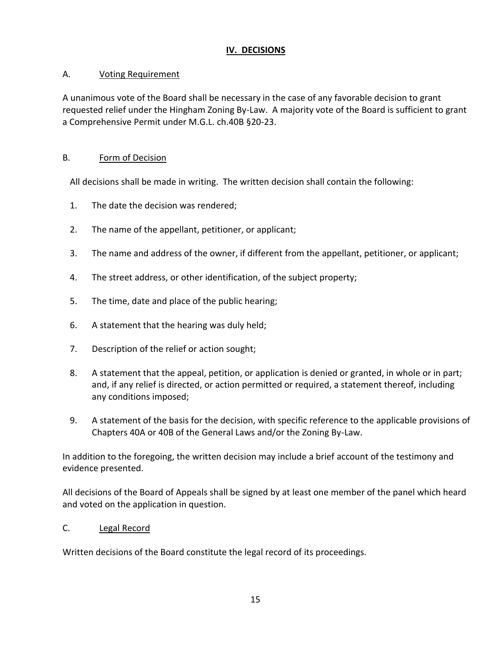## **IV. DECISIONS**

# A. Voting Requirement

A unanimous vote of the Board shall be necessary in the case of any favorable decision to grant requested relief under the Hingham Zoning By-Law. A majority vote of the Board is sufficient to grant a Comprehensive Permit under M.G.L. ch.40B §20-23.

# B. Form of Decision

All decisions shall be made in writing. The written decision shall contain the following:

- 1. The date the decision was rendered;
- 2. The name of the appellant, petitioner, or applicant;
- 3. The name and address of the owner, if different from the appellant, petitioner, or applicant;
- 4. The street address, or other identification, of the subject property;
- 5. The time, date and place of the public hearing;
- 6. A statement that the hearing was duly held;
- 7. Description of the relief or action sought;
- 8. A statement that the appeal, petition, or application is denied or granted, in whole or in part; and, if any relief is directed, or action permitted or required, a statement thereof, including any conditions imposed;
- 9. A statement of the basis for the decision, with specific reference to the applicable provisions of Chapters 40A or 40B of the General Laws and/or the Zoning By-Law.

In addition to the foregoing, the written decision may include a brief account of the testimony and evidence presented.

All decisions of the Board of Appeals shall be signed by at least one member of the panel which heard and voted on the application in question.

## C. Legal Record

Written decisions of the Board constitute the legal record of its proceedings.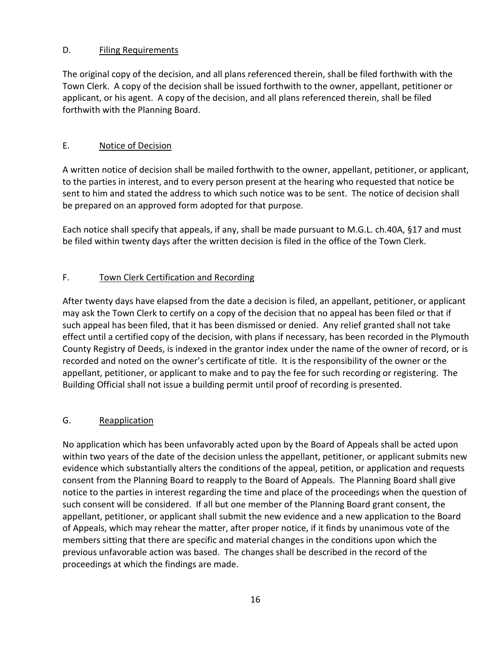### D. Filing Requirements

The original copy of the decision, and all plans referenced therein, shall be filed forthwith with the Town Clerk. A copy of the decision shall be issued forthwith to the owner, appellant, petitioner or applicant, or his agent. A copy of the decision, and all plans referenced therein, shall be filed forthwith with the Planning Board.

## E. Notice of Decision

A written notice of decision shall be mailed forthwith to the owner, appellant, petitioner, or applicant, to the parties in interest, and to every person present at the hearing who requested that notice be sent to him and stated the address to which such notice was to be sent. The notice of decision shall be prepared on an approved form adopted for that purpose.

Each notice shall specify that appeals, if any, shall be made pursuant to M.G.L. ch.40A, §17 and must be filed within twenty days after the written decision is filed in the office of the Town Clerk.

# F. Town Clerk Certification and Recording

After twenty days have elapsed from the date a decision is filed, an appellant, petitioner, or applicant may ask the Town Clerk to certify on a copy of the decision that no appeal has been filed or that if such appeal has been filed, that it has been dismissed or denied. Any relief granted shall not take effect until a certified copy of the decision, with plans if necessary, has been recorded in the Plymouth County Registry of Deeds, is indexed in the grantor index under the name of the owner of record, or is recorded and noted on the owner's certificate of title. It is the responsibility of the owner or the appellant, petitioner, or applicant to make and to pay the fee for such recording or registering. The Building Official shall not issue a building permit until proof of recording is presented.

## G. Reapplication

No application which has been unfavorably acted upon by the Board of Appeals shall be acted upon within two years of the date of the decision unless the appellant, petitioner, or applicant submits new evidence which substantially alters the conditions of the appeal, petition, or application and requests consent from the Planning Board to reapply to the Board of Appeals. The Planning Board shall give notice to the parties in interest regarding the time and place of the proceedings when the question of such consent will be considered. If all but one member of the Planning Board grant consent, the appellant, petitioner, or applicant shall submit the new evidence and a new application to the Board of Appeals, which may rehear the matter, after proper notice, if it finds by unanimous vote of the members sitting that there are specific and material changes in the conditions upon which the previous unfavorable action was based. The changes shall be described in the record of the proceedings at which the findings are made.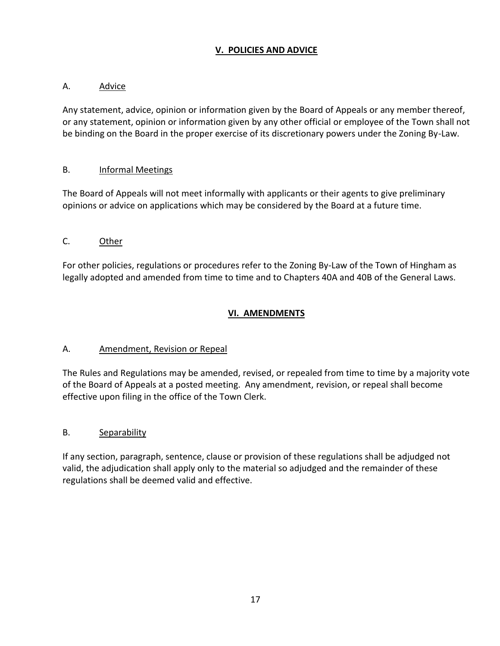## **V. POLICIES AND ADVICE**

#### A. Advice

Any statement, advice, opinion or information given by the Board of Appeals or any member thereof, or any statement, opinion or information given by any other official or employee of the Town shall not be binding on the Board in the proper exercise of its discretionary powers under the Zoning By-Law.

#### B. **Informal Meetings**

The Board of Appeals will not meet informally with applicants or their agents to give preliminary opinions or advice on applications which may be considered by the Board at a future time.

#### C. Other

For other policies, regulations or procedures refer to the Zoning By-Law of the Town of Hingham as legally adopted and amended from time to time and to Chapters 40A and 40B of the General Laws.

## **VI. AMENDMENTS**

#### A. Amendment, Revision or Repeal

The Rules and Regulations may be amended, revised, or repealed from time to time by a majority vote of the Board of Appeals at a posted meeting. Any amendment, revision, or repeal shall become effective upon filing in the office of the Town Clerk.

## B. Separability

If any section, paragraph, sentence, clause or provision of these regulations shall be adjudged not valid, the adjudication shall apply only to the material so adjudged and the remainder of these regulations shall be deemed valid and effective.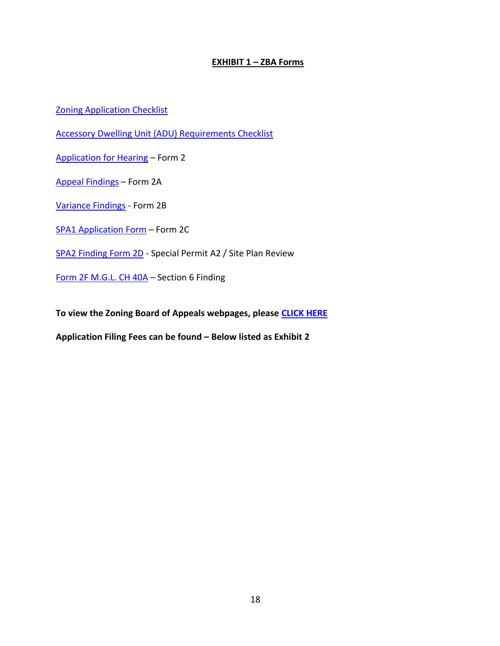#### **EXHIBIT 1 – ZBA Forms**

**[Zoning Application Checklist](https://www.hingham-ma.gov/DocumentCenter/View/5347/Checklist_Form-1)** 

[Accessory Dwelling Unit \(ADU\) Requirements Checklist](https://www.hingham-ma.gov/DocumentCenter/View/11663/ADU-Requirements-Checklist)

[Application for Hearing](https://www.hingham-ma.gov/DocumentCenter/View/2136/Application-for-Hearing-Form-2-PDF) – Form 2

[Appeal Findings](https://www.hingham-ma.gov/DocumentCenter/View/2134/Appeal-Findings-Form-2A-PDF) – Form 2A

[Variance Findings](https://www.hingham-ma.gov/DocumentCenter/View/2131/Variance-Findings-Form-2B-PDF) - Form 2B

[SPA1 Application Form](https://www.hingham-ma.gov/DocumentCenter/View/5336/SPA1-Application-Form) – Form 2C

[SPA2 Finding Form 2D](https://www.hingham-ma.gov/DocumentCenter/View/2130/Special-Permit-A2-Findings--Form2D-PDF) - Special Permit A2 / Site Plan Review

Form [2F M.G.L. CH 40A](https://www.hingham-ma.gov/DocumentCenter/View/7073/Section-6-Finding) – Section 6 Finding

**To view the Zoning Board of Appeals webpages, please [CLICK HERE](https://www.hingham-ma.gov/351/Zoning-Board-of-Appeals)**

**Application Filing Fees can be found – Below listed as Exhibit 2**